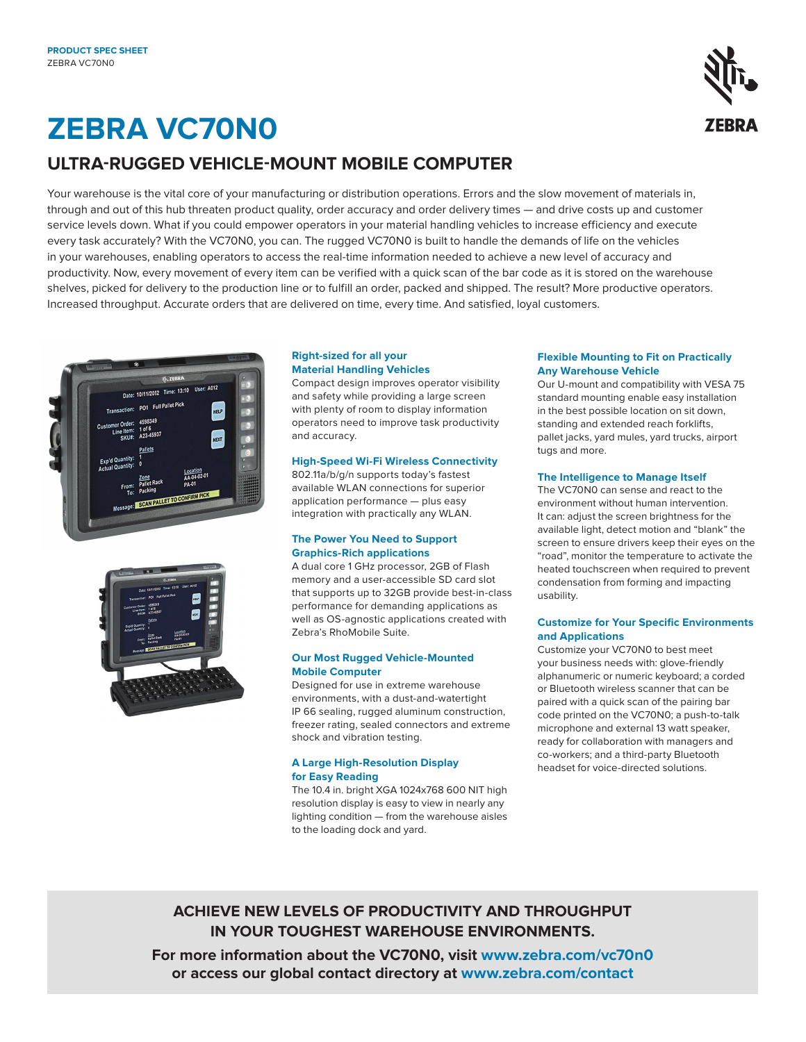

# **ZEBRA VC70N0**

### **ULTRA-RUGGED VEHICLE-MOUNT MOBILE COMPUTER**

Your warehouse is the vital core of your manufacturing or distribution operations. Errors and the slow movement of materials in, through and out of this hub threaten product quality, order accuracy and order delivery times — and drive costs up and customer service levels down. What if you could empower operators in your material handling vehicles to increase efficiency and execute every task accurately? With the VC70N0, you can. The rugged VC70N0 is built to handle the demands of life on the vehicles in your warehouses, enabling operators to access the real-time information needed to achieve a new level of accuracy and productivity. Now, every movement of every item can be verified with a quick scan of the bar code as it is stored on the warehouse shelves, picked for delivery to the production line or to fulfill an order, packed and shipped. The result? More productive operators. Increased throughput. Accurate orders that are delivered on time, every time. And satisfied, loyal customers.





#### **Right-sized for all your Material Handling Vehicles**

Compact design improves operator visibility and safety while providing a large screen with plenty of room to display information operators need to improve task productivity and accuracy.

#### **High-Speed Wi-Fi Wireless Connectivity**

802.11a/b/g/n supports today's fastest available WLAN connections for superior application performance — plus easy integration with practically any WLAN.

#### **The Power You Need to Support Graphics-Rich applications**

A dual core 1 GHz processor, 2GB of Flash memory and a user-accessible SD card slot that supports up to 32GB provide best-in-class performance for demanding applications as well as OS-agnostic applications created with Zebra's RhoMobile Suite.

#### **Our Most Rugged Vehicle-Mounted Mobile Computer**

Designed for use in extreme warehouse environments, with a dust-and-watertight IP 66 sealing, rugged aluminum construction, freezer rating, sealed connectors and extreme shock and vibration testing.

#### **A Large High-Resolution Display for Easy Reading**

The 10.4 in. bright XGA 1024x768 600 NIT high resolution display is easy to view in nearly any lighting condition — from the warehouse aisles to the loading dock and yard.

#### **Flexible Mounting to Fit on Practically Any Warehouse Vehicle**

Our U-mount and compatibility with VESA 75 standard mounting enable easy installation in the best possible location on sit down, standing and extended reach forklifts, pallet jacks, yard mules, yard trucks, airport tugs and more.

#### **The Intelligence to Manage Itself**

The VC70N0 can sense and react to the environment without human intervention. It can: adjust the screen brightness for the available light, detect motion and "blank" the screen to ensure drivers keep their eyes on the "road", monitor the temperature to activate the heated touchscreen when required to prevent condensation from forming and impacting usability.

#### **Customize for Your Specific Environments and Applications**

Customize your VC70N0 to best meet your business needs with: glove-friendly alphanumeric or numeric keyboard; a corded or Bluetooth wireless scanner that can be paired with a quick scan of the pairing bar code printed on the VC70N0; a push-to-talk microphone and external 13 watt speaker, ready for collaboration with managers and co-workers; and a third-party Bluetooth headset for voice-directed solutions.

**ACHIEVE NEW LEVELS OF PRODUCTIVITY AND THROUGHPUT IN YOUR TOUGHEST WAREHOUSE ENVIRONMENTS.**

**For more information about the VC70N0, visit www.zebra.com/vc70n0 or access our global contact directory at [www.zebra.com/contact](https://www.zebra.com/us/en/about-zebra/contact-us/contact-zebra.html)**